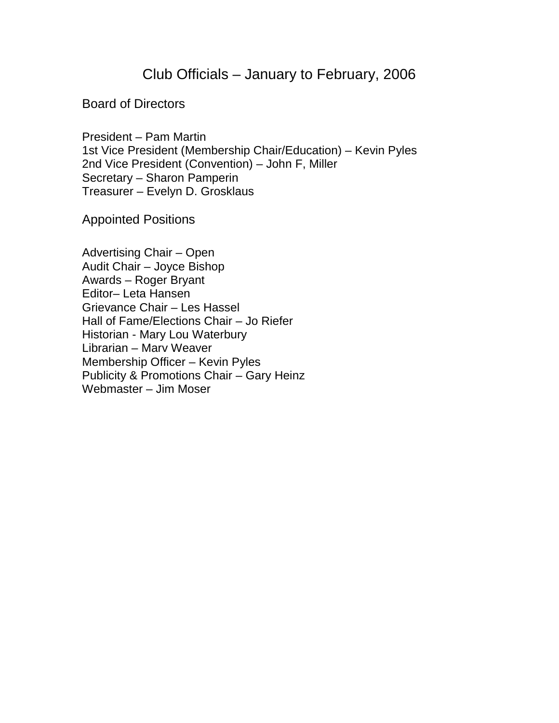## Club Officials – January to February, 2006

### Board of Directors

President – Pam Martin 1st Vice President (Membership Chair/Education) – Kevin Pyles 2nd Vice President (Convention) – John F, Miller Secretary – Sharon Pamperin Treasurer – Evelyn D. Grosklaus

Appointed Positions

Advertising Chair – Open Audit Chair – Joyce Bishop Awards – Roger Bryant Editor– Leta Hansen Grievance Chair – Les Hassel Hall of Fame/Elections Chair – Jo Riefer Historian - Mary Lou Waterbury Librarian – Marv Weaver Membership Officer – Kevin Pyles Publicity & Promotions Chair – Gary Heinz Webmaster – Jim Moser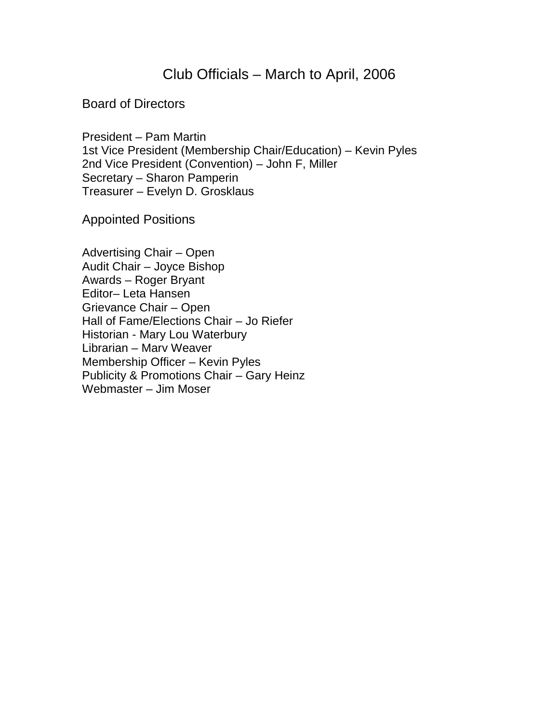## Club Officials – March to April, 2006

#### Board of Directors

President – Pam Martin 1st Vice President (Membership Chair/Education) – Kevin Pyles 2nd Vice President (Convention) – John F, Miller Secretary – Sharon Pamperin Treasurer – Evelyn D. Grosklaus

Appointed Positions

Advertising Chair – Open Audit Chair – Joyce Bishop Awards – Roger Bryant Editor– Leta Hansen Grievance Chair – Open Hall of Fame/Elections Chair – Jo Riefer Historian - Mary Lou Waterbury Librarian – Marv Weaver Membership Officer – Kevin Pyles Publicity & Promotions Chair – Gary Heinz Webmaster – Jim Moser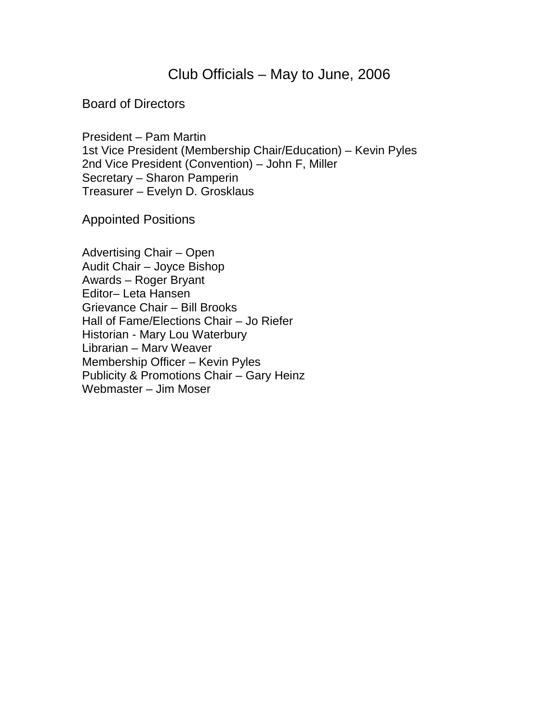# Club Officials – May to June, 2006

#### Board of Directors

President – Pam Martin 1st Vice President (Membership Chair/Education) – Kevin Pyles 2nd Vice President (Convention) – John F, Miller Secretary – Sharon Pamperin Treasurer – Evelyn D. Grosklaus

Appointed Positions

Advertising Chair – Open Audit Chair – Joyce Bishop Awards – Roger Bryant Editor– Leta Hansen Grievance Chair – Bill Brooks Hall of Fame/Elections Chair – Jo Riefer Historian - Mary Lou Waterbury Librarian – Marv Weaver Membership Officer – Kevin Pyles Publicity & Promotions Chair – Gary Heinz Webmaster – Jim Moser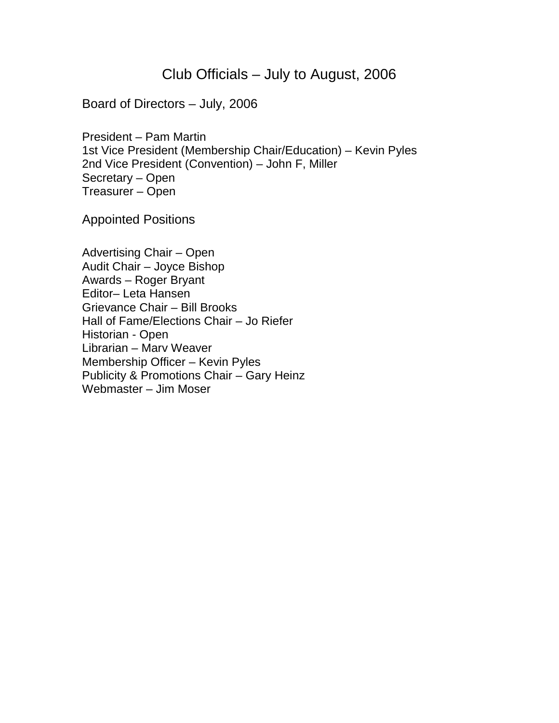## Club Officials – July to August, 2006

Board of Directors – July, 2006

President – Pam Martin 1st Vice President (Membership Chair/Education) – Kevin Pyles 2nd Vice President (Convention) – John F, Miller Secretary – Open Treasurer – Open

Appointed Positions

Advertising Chair – Open Audit Chair – Joyce Bishop Awards – Roger Bryant Editor– Leta Hansen Grievance Chair – Bill Brooks Hall of Fame/Elections Chair – Jo Riefer Historian - Open Librarian – Marv Weaver Membership Officer – Kevin Pyles Publicity & Promotions Chair – Gary Heinz Webmaster – Jim Moser